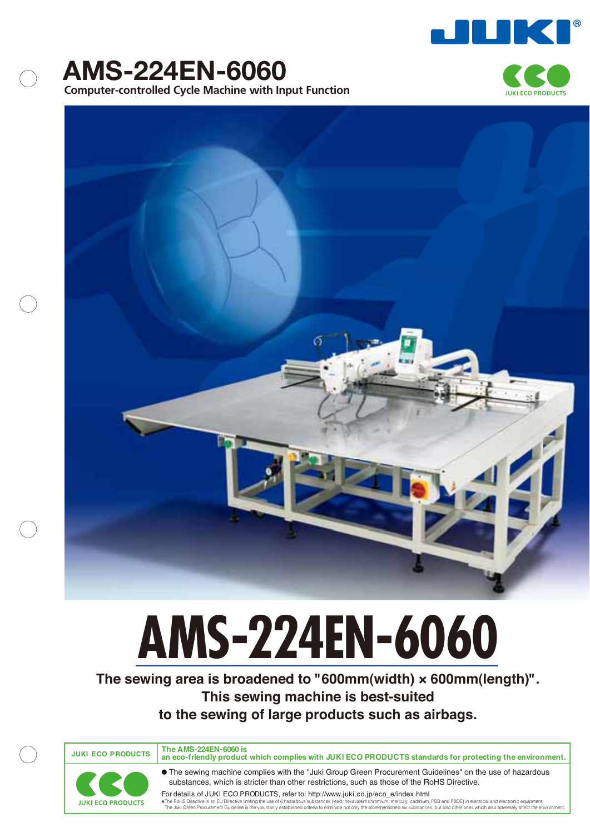







# **AMS-224EN-6060**

**The sewing area is broadened to "600mm(width) × 600mm(length)". This sewing machine is best-suited to the sewing of large products such as airbags.**

**JUKI ECO PRODUCTS**

**The AMS-224EN-6060 is an eco-friendly product which complies with JUKI ECO PRODUCTS standards for protecting the environment.**



The sewing machine complies with the "Juki Group Green Procurement Guidelines" on the use of hazardous substances, which is stricter than other restrictions, such as those of the RoHS Directive.

For details of JUKI ECO PRODUCTS, refer to: http://www.juki.co.jp/eco\_e/index.html The RoHS Directive is an EU Directive limiting the use of 6 hazardous substances (lead, hexavalent chromium, mercury, cadmium, PBB and PBDE) in electrical and electronic equipment. The Julian of the environment of publishe